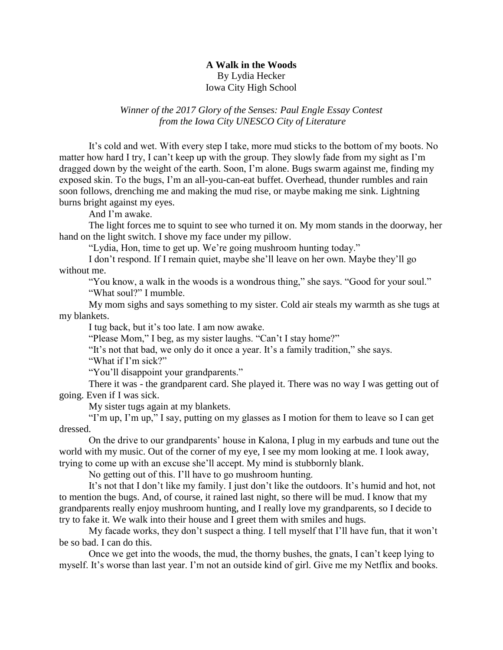## **A Walk in the Woods** By Lydia Hecker Iowa City High School

## *Winner of the 2017 Glory of the Senses: Paul Engle Essay Contest from the Iowa City UNESCO City of Literature*

It's cold and wet. With every step I take, more mud sticks to the bottom of my boots. No matter how hard I try, I can't keep up with the group. They slowly fade from my sight as I'm dragged down by the weight of the earth. Soon, I'm alone. Bugs swarm against me, finding my exposed skin. To the bugs, I'm an all-you-can-eat buffet. Overhead, thunder rumbles and rain soon follows, drenching me and making the mud rise, or maybe making me sink. Lightning burns bright against my eyes.

And I'm awake.

The light forces me to squint to see who turned it on. My mom stands in the doorway, her hand on the light switch. I shove my face under my pillow.

"Lydia, Hon, time to get up. We're going mushroom hunting today."

I don't respond. If I remain quiet, maybe she'll leave on her own. Maybe they'll go without me.

"You know, a walk in the woods is a wondrous thing," she says. "Good for your soul." "What soul?" I mumble.

My mom sighs and says something to my sister. Cold air steals my warmth as she tugs at my blankets.

I tug back, but it's too late. I am now awake.

"Please Mom," I beg, as my sister laughs. "Can't I stay home?"

"It's not that bad, we only do it once a year. It's a family tradition," she says.

"What if I'm sick?"

"You'll disappoint your grandparents."

There it was - the grandparent card. She played it. There was no way I was getting out of going. Even if I was sick.

My sister tugs again at my blankets.

"I'm up, I'm up," I say, putting on my glasses as I motion for them to leave so I can get dressed.

On the drive to our grandparents' house in Kalona, I plug in my earbuds and tune out the world with my music. Out of the corner of my eye, I see my mom looking at me. I look away, trying to come up with an excuse she'll accept. My mind is stubbornly blank.

No getting out of this. I'll have to go mushroom hunting.

It's not that I don't like my family. I just don't like the outdoors. It's humid and hot, not to mention the bugs. And, of course, it rained last night, so there will be mud. I know that my grandparents really enjoy mushroom hunting, and I really love my grandparents, so I decide to try to fake it. We walk into their house and I greet them with smiles and hugs.

My facade works, they don't suspect a thing. I tell myself that I'll have fun, that it won't be so bad. I can do this.

Once we get into the woods, the mud, the thorny bushes, the gnats, I can't keep lying to myself. It's worse than last year. I'm not an outside kind of girl. Give me my Netflix and books.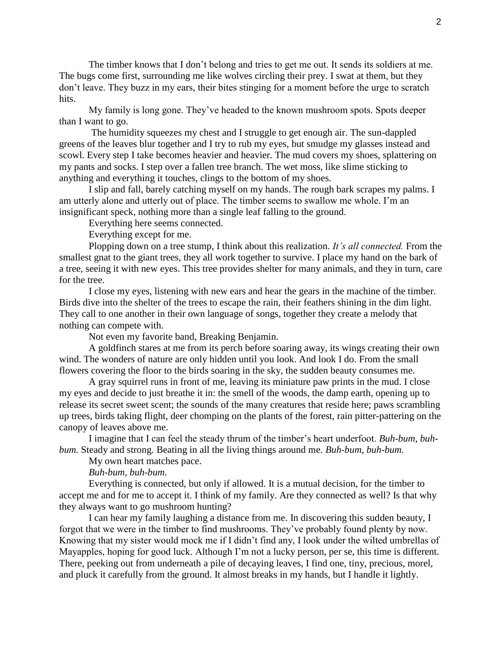The timber knows that I don't belong and tries to get me out. It sends its soldiers at me. The bugs come first, surrounding me like wolves circling their prey. I swat at them, but they don't leave. They buzz in my ears, their bites stinging for a moment before the urge to scratch hits.

My family is long gone. They've headed to the known mushroom spots. Spots deeper than I want to go.

The humidity squeezes my chest and I struggle to get enough air. The sun-dappled greens of the leaves blur together and I try to rub my eyes, but smudge my glasses instead and scowl. Every step I take becomes heavier and heavier. The mud covers my shoes, splattering on my pants and socks. I step over a fallen tree branch. The wet moss, like slime sticking to anything and everything it touches, clings to the bottom of my shoes.

I slip and fall, barely catching myself on my hands. The rough bark scrapes my palms. I am utterly alone and utterly out of place. The timber seems to swallow me whole. I'm an insignificant speck, nothing more than a single leaf falling to the ground.

Everything here seems connected.

Everything except for me.

Plopping down on a tree stump, I think about this realization. *It's all connected.* From the smallest gnat to the giant trees, they all work together to survive. I place my hand on the bark of a tree, seeing it with new eyes. This tree provides shelter for many animals, and they in turn, care for the tree.

I close my eyes, listening with new ears and hear the gears in the machine of the timber. Birds dive into the shelter of the trees to escape the rain, their feathers shining in the dim light. They call to one another in their own language of songs, together they create a melody that nothing can compete with.

Not even my favorite band, Breaking Benjamin.

A goldfinch stares at me from its perch before soaring away, its wings creating their own wind. The wonders of nature are only hidden until you look. And look I do. From the small flowers covering the floor to the birds soaring in the sky, the sudden beauty consumes me.

A gray squirrel runs in front of me, leaving its miniature paw prints in the mud. I close my eyes and decide to just breathe it in: the smell of the woods, the damp earth, opening up to release its secret sweet scent; the sounds of the many creatures that reside here; paws scrambling up trees, birds taking flight, deer chomping on the plants of the forest, rain pitter-pattering on the canopy of leaves above me.

I imagine that I can feel the steady thrum of the timber's heart underfoot. *Buh-bum, buhbum.* Steady and strong. Beating in all the living things around me. *Buh-bum, buh-bum.*

My own heart matches pace.

*Buh-bum, buh-bum.*

Everything is connected, but only if allowed. It is a mutual decision, for the timber to accept me and for me to accept it. I think of my family. Are they connected as well? Is that why they always want to go mushroom hunting?

I can hear my family laughing a distance from me. In discovering this sudden beauty, I forgot that we were in the timber to find mushrooms. They've probably found plenty by now. Knowing that my sister would mock me if I didn't find any, I look under the wilted umbrellas of Mayapples, hoping for good luck. Although I'm not a lucky person, per se, this time is different. There, peeking out from underneath a pile of decaying leaves, I find one, tiny, precious, morel, and pluck it carefully from the ground. It almost breaks in my hands, but I handle it lightly.